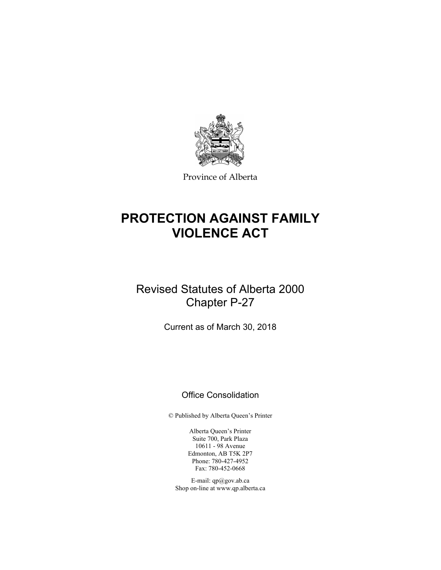

Province of Alberta

# **PROTECTION AGAINST FAMILY VIOLENCE ACT**

# Revised Statutes of Alberta 2000 Chapter P-27

Current as of March 30, 2018

# Office Consolidation

© Published by Alberta Queen's Printer

Alberta Queen's Printer Suite 700, Park Plaza 10611 - 98 Avenue Edmonton, AB T5K 2P7 Phone: 780-427-4952 Fax: 780-452-0668

E-mail: qp@gov.ab.ca Shop on-line at www.qp.alberta.ca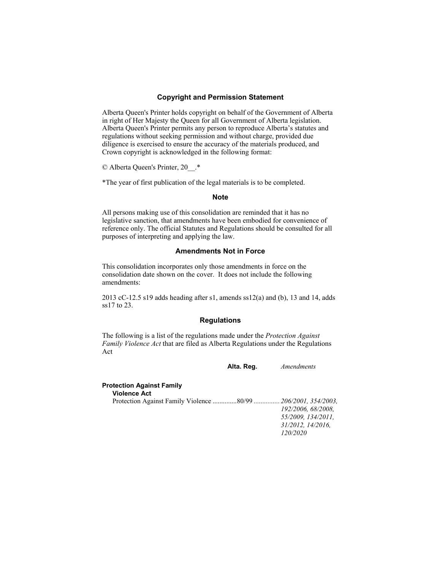## **Copyright and Permission Statement**

Alberta Queen's Printer holds copyright on behalf of the Government of Alberta in right of Her Majesty the Queen for all Government of Alberta legislation. Alberta Queen's Printer permits any person to reproduce Alberta's statutes and regulations without seeking permission and without charge, provided due diligence is exercised to ensure the accuracy of the materials produced, and Crown copyright is acknowledged in the following format:

© Alberta Queen's Printer, 20\_\_.\*

\*The year of first publication of the legal materials is to be completed.

#### **Note**

All persons making use of this consolidation are reminded that it has no legislative sanction, that amendments have been embodied for convenience of reference only. The official Statutes and Regulations should be consulted for all purposes of interpreting and applying the law.

# **Amendments Not in Force**

This consolidation incorporates only those amendments in force on the consolidation date shown on the cover. It does not include the following amendments:

2013 cC-12.5 s19 adds heading after s1, amends ss12(a) and (b), 13 and 14, adds ss17 to 23.

# **Regulations**

The following is a list of the regulations made under the *Protection Against Family Violence Act* that are filed as Alberta Regulations under the Regulations Act

**Alta. Reg.** *Amendments*

# **Protection Against Family Violence Act**  Protection Against Family Violence .............. 80/99 *............... 206/2001, 354/2003, 192/2006, 68/2008, 55/2009, 134/2011, 31/2012, 14/2016, 120/2020*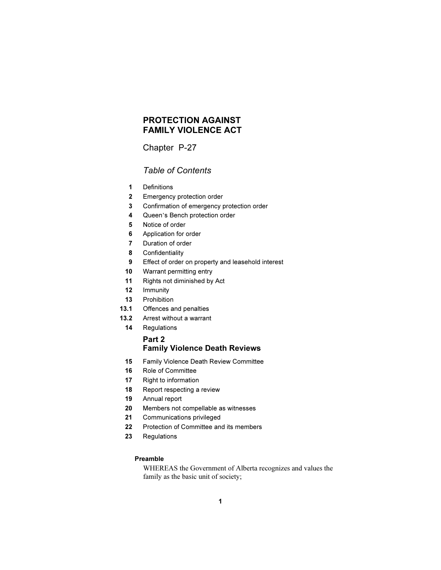# PROTECTION AGAINST FAMILY VIOLENCE ACT

# Chapter P-27

# Table of Contents

- 1 Definitions
- 2 Emergency protection order
- 3 Confirmation of emergency protection order <sup>4</sup> Queen's Bench protection order
	-
	- 5 Notice of order
	- 6 Application for order
	- 7 Duration of order
	- 8 Confidentiality
	- 9 Effect of order on property and leasehold interest
	- 10 Warrant permitting entry
	- 11 Rights not diminished by Act
	- 12 Immunity
	- 13 Prohibition
	- 13.1 Offences and penalties
	- 13.2 Arrest without a warrant
	- 14 Regulations

# Part 2 Family Violence Death Reviews

- 15 Family Violence Death Review Committee
- 16 Role of Committee
- 17 Right to information
- 18 Report respecting a review
- 19 Annual report
- 20 Members not compellable as witnesses
- 21 Communications privileged
- 22 Protection of Committee and its members
- 23 Regulations

# Preamble

WHEREAS the Government of Alberta recognizes and values the family as the basic unit of society;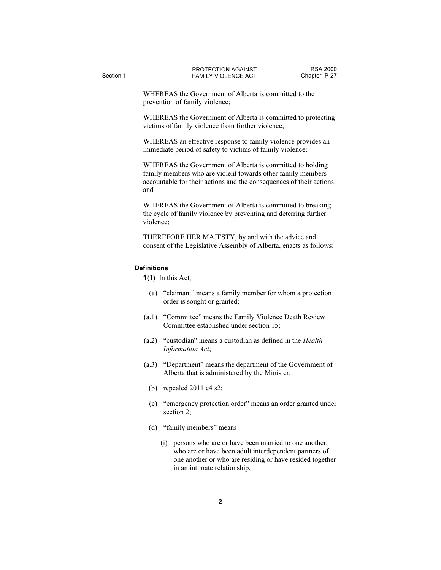WHEREAS the Government of Alberta is committed to the prevention of family violence;

WHEREAS the Government of Alberta is committed to protecting victims of family violence from further violence;

WHEREAS an effective response to family violence provides an immediate period of safety to victims of family violence;

WHEREAS the Government of Alberta is committed to holding family members who are violent towards other family members accountable for their actions and the consequences of their actions; and

WHEREAS the Government of Alberta is committed to breaking the cycle of family violence by preventing and deterring further violence;

THEREFORE HER MAJESTY, by and with the advice and consent of the Legislative Assembly of Alberta, enacts as follows:

#### **Definitions**

 $1(1)$  In this Act,

- (a) "claimant" means a family member for whom a protection order is sought or granted;
- (a.1) "Committee" means the Family Violence Death Review Committee established under section 15;
- (a.2) "custodian" means a custodian as defined in the Health Information Act;
- (a.3) "Department" means the department of the Government of Alberta that is administered by the Minister;
	- (b) repealed 2011 c4 s2;
	- (c) "emergency protection order" means an order granted under section 2;
	- (d) "family members" means
		- (i) persons who are or have been married to one another, who are or have been adult interdependent partners of one another or who are residing or have resided together in an intimate relationship,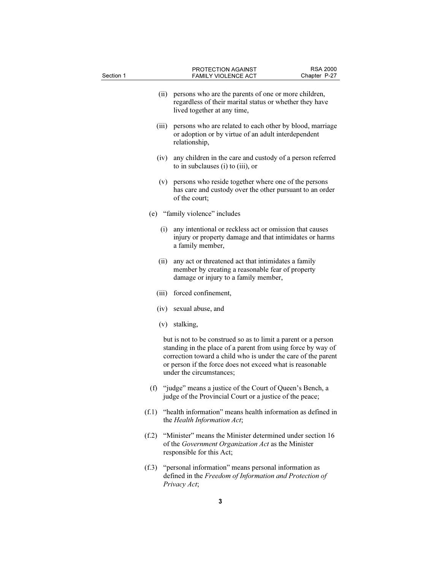| Section 1 |      | PROTECTION AGAINST<br><b>FAMILY VIOLENCE ACT</b>                                                                                                                                                                                                                                         | <b>RSA 2000</b><br>Chapter P-27 |  |
|-----------|------|------------------------------------------------------------------------------------------------------------------------------------------------------------------------------------------------------------------------------------------------------------------------------------------|---------------------------------|--|
|           |      | (ii) persons who are the parents of one or more children,<br>regardless of their marital status or whether they have<br>lived together at any time,                                                                                                                                      |                                 |  |
| (iii)     |      | persons who are related to each other by blood, marriage<br>or adoption or by virtue of an adult interdependent<br>relationship,                                                                                                                                                         |                                 |  |
|           | (iv) | any children in the care and custody of a person referred<br>to in subclauses (i) to (iii), or                                                                                                                                                                                           |                                 |  |
|           |      | (v) persons who reside together where one of the persons<br>has care and custody over the other pursuant to an order<br>of the court;                                                                                                                                                    |                                 |  |
|           |      | (e) "family violence" includes                                                                                                                                                                                                                                                           |                                 |  |
|           | (i)  | any intentional or reckless act or omission that causes<br>injury or property damage and that intimidates or harms<br>a family member,                                                                                                                                                   |                                 |  |
|           | (ii) | any act or threatened act that intimidates a family<br>member by creating a reasonable fear of property<br>damage or injury to a family member,                                                                                                                                          |                                 |  |
|           |      | (iii) forced confinement,                                                                                                                                                                                                                                                                |                                 |  |
|           |      | (iv) sexual abuse, and                                                                                                                                                                                                                                                                   |                                 |  |
|           |      | (v) stalking,                                                                                                                                                                                                                                                                            |                                 |  |
|           |      | but is not to be construed so as to limit a parent or a person<br>standing in the place of a parent from using force by way of<br>correction toward a child who is under the care of the parent<br>or person if the force does not exceed what is reasonable<br>under the circumstances; |                                 |  |
| (f)       |      | "judge" means a justice of the Court of Queen's Bench, a<br>judge of the Provincial Court or a justice of the peace;                                                                                                                                                                     |                                 |  |
|           |      | (f.1) "health information" means health information as defined in<br>the Health Information Act;                                                                                                                                                                                         |                                 |  |
|           |      | (f.2) "Minister" means the Minister determined under section 16<br>of the Government Organization Act as the Minister<br>responsible for this Act;                                                                                                                                       |                                 |  |
|           |      | (f.3) "personal information" means personal information as<br>defined in the Freedom of Information and Protection of<br>Privacy Act;                                                                                                                                                    |                                 |  |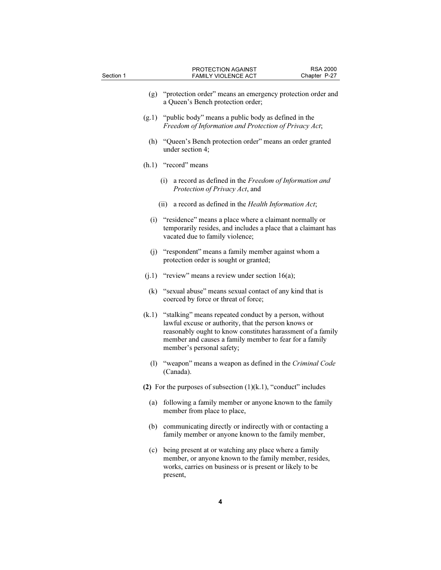| Section 1 | PROTECTION AGAINST<br><b>FAMILY VIOLENCE ACT</b> | Chapter P-27 |
|-----------|--------------------------------------------------|--------------|
|           |                                                  |              |

- (g) "protection order" means an emergency protection order and a Queen's Bench protection order;
- (g.1) "public body" means a public body as defined in the Freedom of Information and Protection of Privacy Act;
	- (h) "Queen's Bench protection order" means an order granted under section 4;

#### (h.1) "record" means

- (i) a record as defined in the Freedom of Information and Protection of Privacy Act, and
- (ii) a record as defined in the Health Information Act;
- (i) "residence" means a place where a claimant normally or temporarily resides, and includes a place that a claimant has vacated due to family violence;
- (j) "respondent" means a family member against whom a protection order is sought or granted;
- $(j.1)$  "review" means a review under section 16(a);
- (k) "sexual abuse" means sexual contact of any kind that is coerced by force or threat of force;
- (k.1) "stalking" means repeated conduct by a person, without lawful excuse or authority, that the person knows or reasonably ought to know constitutes harassment of a family member and causes a family member to fear for a family member's personal safety;
	- (l) "weapon" means a weapon as defined in the Criminal Code (Canada).
- (2) For the purposes of subsection  $(1)(k.1)$ , "conduct" includes
	- (a) following a family member or anyone known to the family member from place to place,
	- (b) communicating directly or indirectly with or contacting a family member or anyone known to the family member,
	- (c) being present at or watching any place where a family member, or anyone known to the family member, resides, works, carries on business or is present or likely to be present,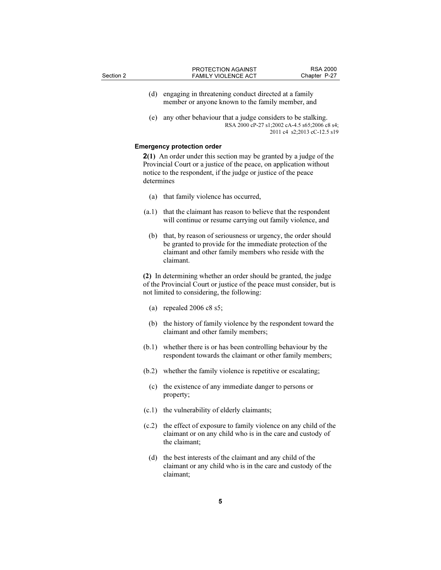- (d) engaging in threatening conduct directed at a family member or anyone known to the family member, and
- (e) any other behaviour that a judge considers to be stalking. RSA 2000 cP-27 s1;2002 cA-4.5 s65;2006 c8 s4; 2011 c4 s2;2013 cC-12.5 s19

#### Emergency protection order

2(1) An order under this section may be granted by a judge of the Provincial Court or a justice of the peace, on application without notice to the respondent, if the judge or justice of the peace determines

- (a) that family violence has occurred,
- (a.1) that the claimant has reason to believe that the respondent will continue or resume carrying out family violence, and
	- (b) that, by reason of seriousness or urgency, the order should be granted to provide for the immediate protection of the claimant and other family members who reside with the claimant.

(2) In determining whether an order should be granted, the judge of the Provincial Court or justice of the peace must consider, but is not limited to considering, the following:

- (a) repealed 2006 c8 s5;
- (b) the history of family violence by the respondent toward the claimant and other family members;
- (b.1) whether there is or has been controlling behaviour by the respondent towards the claimant or other family members;
- (b.2) whether the family violence is repetitive or escalating;
	- (c) the existence of any immediate danger to persons or property;
- (c.1) the vulnerability of elderly claimants;
- (c.2) the effect of exposure to family violence on any child of the claimant or on any child who is in the care and custody of the claimant;
	- (d) the best interests of the claimant and any child of the claimant or any child who is in the care and custody of the claimant;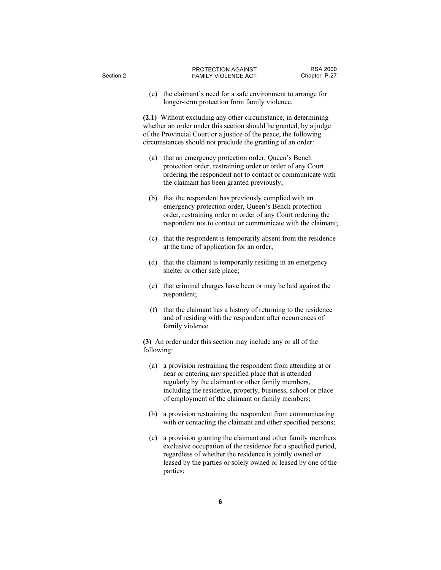(e) the claimant's need for a safe environment to arrange for longer-term protection from family violence.

(2.1) Without excluding any other circumstance, in determining whether an order under this section should be granted, by a judge of the Provincial Court or a justice of the peace, the following circumstances should not preclude the granting of an order:

- (a) that an emergency protection order, Queen's Bench protection order, restraining order or order of any Court ordering the respondent not to contact or communicate with the claimant has been granted previously;
- (b) that the respondent has previously complied with an emergency protection order, Queen's Bench protection order, restraining order or order of any Court ordering the respondent not to contact or communicate with the claimant;
- (c) that the respondent is temporarily absent from the residence at the time of application for an order;
- (d) that the claimant is temporarily residing in an emergency shelter or other safe place;
- (e) that criminal charges have been or may be laid against the respondent;
- (f) that the claimant has a history of returning to the residence and of residing with the respondent after occurrences of family violence.

(3) An order under this section may include any or all of the following:

- (a) a provision restraining the respondent from attending at or near or entering any specified place that is attended regularly by the claimant or other family members, including the residence, property, business, school or place of employment of the claimant or family members;
- (b) a provision restraining the respondent from communicating with or contacting the claimant and other specified persons;
- (c) a provision granting the claimant and other family members exclusive occupation of the residence for a specified period, regardless of whether the residence is jointly owned or leased by the parties or solely owned or leased by one of the parties;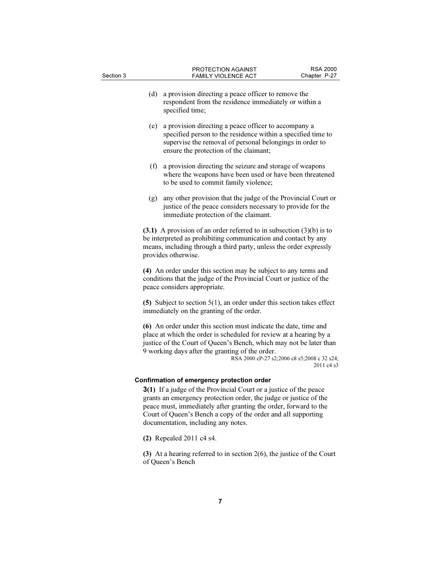- (d) a provision directing a peace officer to remove the respondent from the residence immediately or within a specified time;
- (e) a provision directing a peace officer to accompany a specified person to the residence within a specified time to supervise the removal of personal belongings in order to ensure the protection of the claimant;
- (f) a provision directing the seizure and storage of weapons where the weapons have been used or have been threatened to be used to commit family violence;
- (g) any other provision that the judge of the Provincial Court or justice of the peace considers necessary to provide for the immediate protection of the claimant.

 $(3.1)$  A provision of an order referred to in subsection  $(3)(b)$  is to be interpreted as prohibiting communication and contact by any means, including through a third party, unless the order expressly provides otherwise.

(4) An order under this section may be subject to any terms and conditions that the judge of the Provincial Court or justice of the peace considers appropriate.

(5) Subject to section 5(1), an order under this section takes effect immediately on the granting of the order.

(6) An order under this section must indicate the date, time and place at which the order is scheduled for review at a hearing by a justice of the Court of Queen's Bench, which may not be later than 9 working days after the granting of the order.

RSA 2000 cP-27 s2;2006 c8 s5;2008 c 32 s24; 2011 c4 s3

# Confirmation of emergency protection order

3(1) If a judge of the Provincial Court or a justice of the peace grants an emergency protection order, the judge or justice of the peace must, immediately after granting the order, forward to the Court of Queen's Bench a copy of the order and all supporting documentation, including any notes.

(2) Repealed 2011 c4 s4.

(3) At a hearing referred to in section 2(6), the justice of the Court of Queen's Bench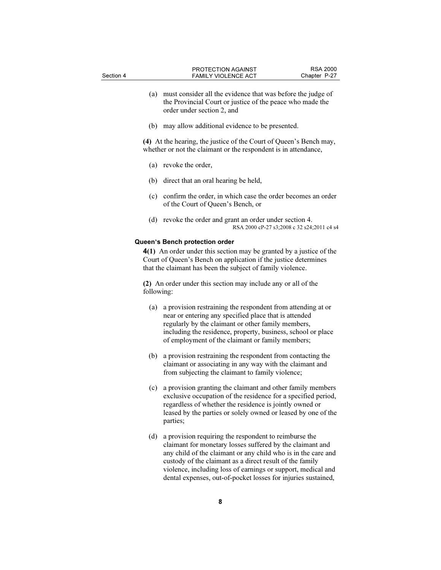- (a) must consider all the evidence that was before the judge of the Provincial Court or justice of the peace who made the order under section 2, and
- (b) may allow additional evidence to be presented.

(4) At the hearing, the justice of the Court of Queen's Bench may, whether or not the claimant or the respondent is in attendance,

- (a) revoke the order,
- (b) direct that an oral hearing be held,
- (c) confirm the order, in which case the order becomes an order of the Court of Queen's Bench, or
- (d) revoke the order and grant an order under section 4. RSA 2000 cP-27 s3;2008 c 32 s24;2011 c4 s4

#### Queen's Bench protection order

4(1) An order under this section may be granted by a justice of the Court of Queen's Bench on application if the justice determines that the claimant has been the subject of family violence.

(2) An order under this section may include any or all of the following:

- (a) a provision restraining the respondent from attending at or near or entering any specified place that is attended regularly by the claimant or other family members, including the residence, property, business, school or place of employment of the claimant or family members;
- (b) a provision restraining the respondent from contacting the claimant or associating in any way with the claimant and from subjecting the claimant to family violence;
- (c) a provision granting the claimant and other family members exclusive occupation of the residence for a specified period, regardless of whether the residence is jointly owned or leased by the parties or solely owned or leased by one of the parties;
- (d) a provision requiring the respondent to reimburse the claimant for monetary losses suffered by the claimant and any child of the claimant or any child who is in the care and custody of the claimant as a direct result of the family violence, including loss of earnings or support, medical and dental expenses, out-of-pocket losses for injuries sustained,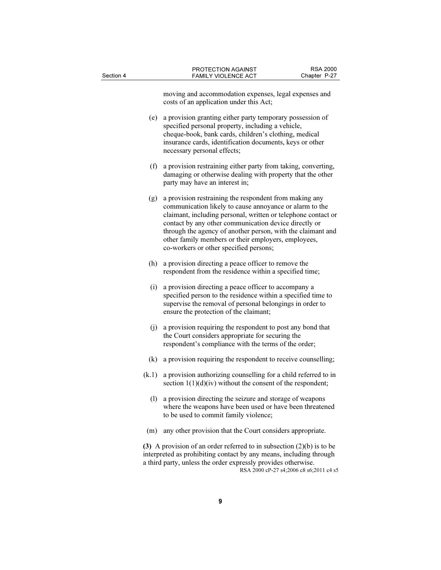moving and accommodation expenses, legal expenses and costs of an application under this Act;

- (e) a provision granting either party temporary possession of specified personal property, including a vehicle, cheque-book, bank cards, children's clothing, medical insurance cards, identification documents, keys or other necessary personal effects;
- (f) a provision restraining either party from taking, converting, damaging or otherwise dealing with property that the other party may have an interest in;
- (g) a provision restraining the respondent from making any communication likely to cause annoyance or alarm to the claimant, including personal, written or telephone contact or contact by any other communication device directly or through the agency of another person, with the claimant and other family members or their employers, employees, co-workers or other specified persons;
- (h) a provision directing a peace officer to remove the respondent from the residence within a specified time;
- (i) a provision directing a peace officer to accompany a specified person to the residence within a specified time to supervise the removal of personal belongings in order to ensure the protection of the claimant;
- (j) a provision requiring the respondent to post any bond that the Court considers appropriate for securing the respondent's compliance with the terms of the order;
- (k) a provision requiring the respondent to receive counselling;
- (k.1) a provision authorizing counselling for a child referred to in section  $1(1)(d)(iv)$  without the consent of the respondent;
	- (l) a provision directing the seizure and storage of weapons where the weapons have been used or have been threatened to be used to commit family violence;
- (m) any other provision that the Court considers appropriate.

(3) A provision of an order referred to in subsection  $(2)(b)$  is to be interpreted as prohibiting contact by any means, including through a third party, unless the order expressly provides otherwise. RSA 2000 cP-27 s4;2006 c8 s6;2011 c4 s5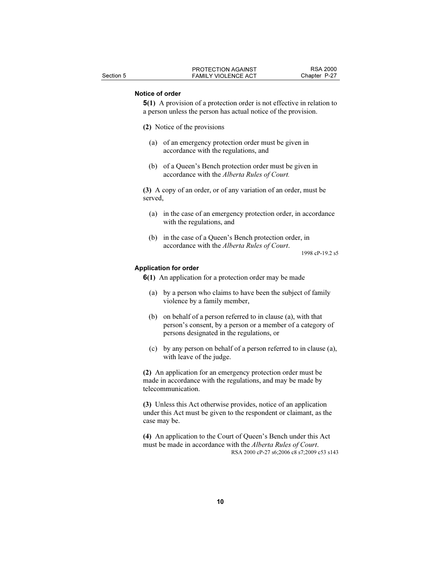## Notice of order

5(1) A provision of a protection order is not effective in relation to a person unless the person has actual notice of the provision.

- (2) Notice of the provisions
	- (a) of an emergency protection order must be given in accordance with the regulations, and
	- (b) of a Queen's Bench protection order must be given in accordance with the Alberta Rules of Court.

(3) A copy of an order, or of any variation of an order, must be served,

- (a) in the case of an emergency protection order, in accordance with the regulations, and
- (b) in the case of a Queen's Bench protection order, in accordance with the Alberta Rules of Court.

1998 cP-19.2 s5

#### Application for order

6(1) An application for a protection order may be made

- (a) by a person who claims to have been the subject of family violence by a family member,
- (b) on behalf of a person referred to in clause (a), with that person's consent, by a person or a member of a category of persons designated in the regulations, or
- (c) by any person on behalf of a person referred to in clause (a), with leave of the judge.

(2) An application for an emergency protection order must be made in accordance with the regulations, and may be made by telecommunication.

(3) Unless this Act otherwise provides, notice of an application under this Act must be given to the respondent or claimant, as the case may be.

(4) An application to the Court of Queen's Bench under this Act must be made in accordance with the Alberta Rules of Court. RSA 2000 cP-27 s6;2006 c8 s7;2009 c53 s143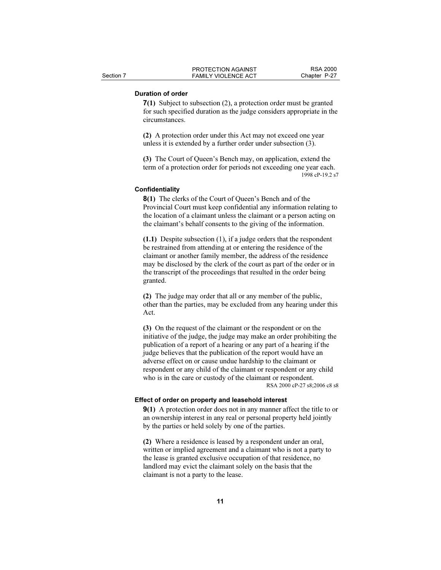# Duration of order

7(1) Subject to subsection (2), a protection order must be granted for such specified duration as the judge considers appropriate in the circumstances.

(2) A protection order under this Act may not exceed one year unless it is extended by a further order under subsection (3).

(3) The Court of Queen's Bench may, on application, extend the term of a protection order for periods not exceeding one year each. 1998 cP-19.2 s7

## **Confidentiality**

8(1) The clerks of the Court of Queen's Bench and of the Provincial Court must keep confidential any information relating to the location of a claimant unless the claimant or a person acting on the claimant's behalf consents to the giving of the information.

(1.1) Despite subsection (1), if a judge orders that the respondent be restrained from attending at or entering the residence of the claimant or another family member, the address of the residence may be disclosed by the clerk of the court as part of the order or in the transcript of the proceedings that resulted in the order being granted.

(2) The judge may order that all or any member of the public, other than the parties, may be excluded from any hearing under this Act.

(3) On the request of the claimant or the respondent or on the initiative of the judge, the judge may make an order prohibiting the publication of a report of a hearing or any part of a hearing if the judge believes that the publication of the report would have an adverse effect on or cause undue hardship to the claimant or respondent or any child of the claimant or respondent or any child who is in the care or custody of the claimant or respondent. RSA 2000 cP-27 s8;2006 c8 s8

#### Effect of order on property and leasehold interest

9(1) A protection order does not in any manner affect the title to or an ownership interest in any real or personal property held jointly by the parties or held solely by one of the parties.

(2) Where a residence is leased by a respondent under an oral, written or implied agreement and a claimant who is not a party to the lease is granted exclusive occupation of that residence, no landlord may evict the claimant solely on the basis that the claimant is not a party to the lease.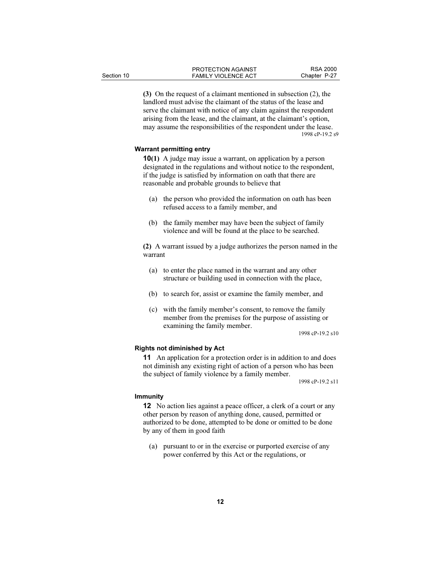(3) On the request of a claimant mentioned in subsection (2), the landlord must advise the claimant of the status of the lease and serve the claimant with notice of any claim against the respondent arising from the lease, and the claimant, at the claimant's option, may assume the responsibilities of the respondent under the lease. 1998 cP-19.2 s9

# Warrant permitting entry

10(1) A judge may issue a warrant, on application by a person designated in the regulations and without notice to the respondent, if the judge is satisfied by information on oath that there are reasonable and probable grounds to believe that

- (a) the person who provided the information on oath has been refused access to a family member, and
- (b) the family member may have been the subject of family violence and will be found at the place to be searched.

(2) A warrant issued by a judge authorizes the person named in the warrant

- (a) to enter the place named in the warrant and any other structure or building used in connection with the place,
- (b) to search for, assist or examine the family member, and
- (c) with the family member's consent, to remove the family member from the premises for the purpose of assisting or examining the family member.

1998 cP-19.2 s10

## Rights not diminished by Act

11 An application for a protection order is in addition to and does not diminish any existing right of action of a person who has been the subject of family violence by a family member.

1998 cP-19.2 s11

#### Immunity

12 No action lies against a peace officer, a clerk of a court or any other person by reason of anything done, caused, permitted or authorized to be done, attempted to be done or omitted to be done by any of them in good faith

 (a) pursuant to or in the exercise or purported exercise of any power conferred by this Act or the regulations, or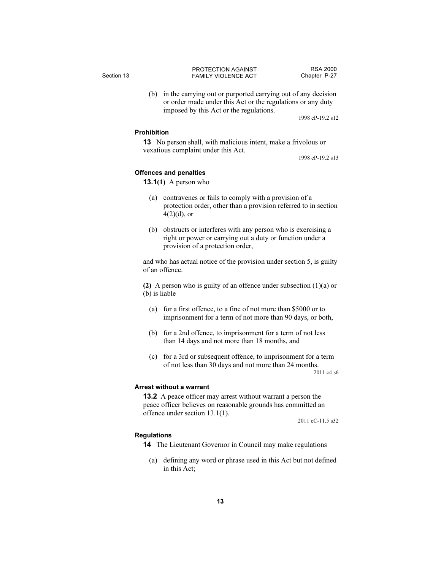| Section 13 | <b>PROTECTION AGAINST</b><br><b>FAMILY VIOLENCE ACT</b> | <b>RSA 2000</b><br>Chapter P-27 |
|------------|---------------------------------------------------------|---------------------------------|
|            |                                                         |                                 |

 (b) in the carrying out or purported carrying out of any decision or order made under this Act or the regulations or any duty imposed by this Act or the regulations.

1998 cP-19.2 s12

#### Prohibition

13 No person shall, with malicious intent, make a frivolous or vexatious complaint under this Act.

1998 cP-19.2 s13

#### Offences and penalties

**13.1(1)** A person who

- (a) contravenes or fails to comply with a provision of a protection order, other than a provision referred to in section  $4(2)(d)$ , or
- (b) obstructs or interferes with any person who is exercising a right or power or carrying out a duty or function under a provision of a protection order,

and who has actual notice of the provision under section 5, is guilty of an offence.

(2) A person who is guilty of an offence under subsection (1)(a) or (b) is liable

- (a) for a first offence, to a fine of not more than \$5000 or to imprisonment for a term of not more than 90 days, or both,
- (b) for a 2nd offence, to imprisonment for a term of not less than 14 days and not more than 18 months, and
- (c) for a 3rd or subsequent offence, to imprisonment for a term of not less than 30 days and not more than 24 months.

2011 c4 s6

#### Arrest without a warrant

13.2 A peace officer may arrest without warrant a person the peace officer believes on reasonable grounds has committed an offence under section 13.1(1).

2011 cC-11.5 s32

#### Regulations

- 14 The Lieutenant Governor in Council may make regulations
	- (a) defining any word or phrase used in this Act but not defined in this Act;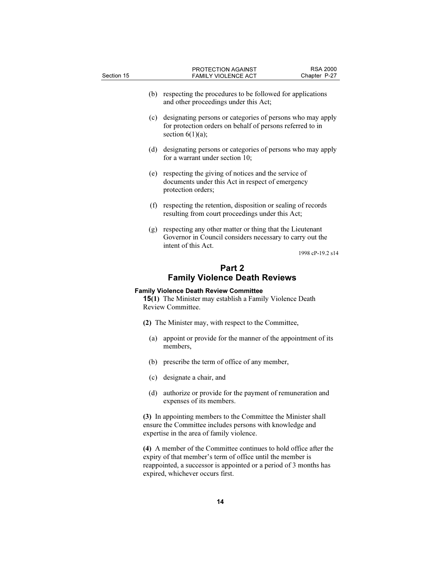| Section 15                                                                                                                            | PROTECTION AGAINST<br><b>FAMILY VIOLENCE ACT</b>                                                                                               | <b>RSA 2000</b><br>Chapter P-27 |  |  |  |
|---------------------------------------------------------------------------------------------------------------------------------------|------------------------------------------------------------------------------------------------------------------------------------------------|---------------------------------|--|--|--|
| (b)                                                                                                                                   | respecting the procedures to be followed for applications<br>and other proceedings under this Act;                                             |                                 |  |  |  |
| (c)                                                                                                                                   | designating persons or categories of persons who may apply<br>for protection orders on behalf of persons referred to in<br>section $6(1)(a)$ ; |                                 |  |  |  |
| (d)                                                                                                                                   | designating persons or categories of persons who may apply<br>for a warrant under section 10;                                                  |                                 |  |  |  |
| (e)                                                                                                                                   | respecting the giving of notices and the service of<br>documents under this Act in respect of emergency<br>protection orders;                  |                                 |  |  |  |
| (f)                                                                                                                                   | respecting the retention, disposition or sealing of records<br>resulting from court proceedings under this Act;                                |                                 |  |  |  |
| (g)                                                                                                                                   | respecting any other matter or thing that the Lieutenant<br>Governor in Council considers necessary to carry out the<br>intent of this Act.    | 1998 cP-19.2 s14                |  |  |  |
|                                                                                                                                       | Part 2                                                                                                                                         |                                 |  |  |  |
| <b>Family Violence Death Reviews</b>                                                                                                  |                                                                                                                                                |                                 |  |  |  |
| <b>Family Violence Death Review Committee</b><br><b>15(1)</b> The Minister may establish a Family Violence Death<br>Review Committee. |                                                                                                                                                |                                 |  |  |  |
| (2) The Minister may, with respect to the Committee,                                                                                  |                                                                                                                                                |                                 |  |  |  |
| (a)                                                                                                                                   | appoint or provide for the manner of the appointment of its<br>members.                                                                        |                                 |  |  |  |

- (b) prescribe the term of office of any member,
- (c) designate a chair, and
- (d) authorize or provide for the payment of remuneration and expenses of its members.

(3) In appointing members to the Committee the Minister shall ensure the Committee includes persons with knowledge and expertise in the area of family violence.

(4) A member of the Committee continues to hold office after the expiry of that member's term of office until the member is reappointed, a successor is appointed or a period of 3 months has expired, whichever occurs first.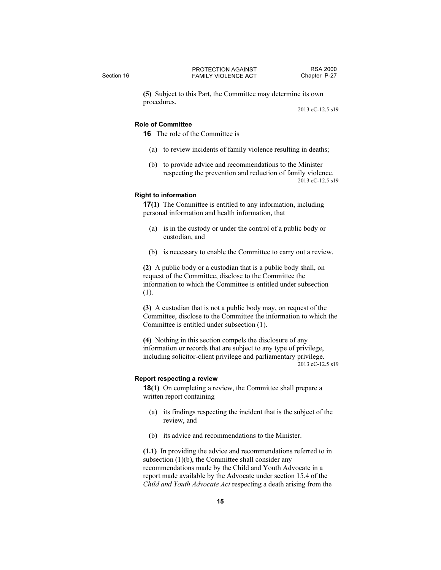(5) Subject to this Part, the Committee may determine its own procedures.

2013 cC-12.5 s19

## Role of Committee

16 The role of the Committee is

- (a) to review incidents of family violence resulting in deaths;
- (b) to provide advice and recommendations to the Minister respecting the prevention and reduction of family violence. 2013 cC-12.5 s19

#### Right to information

17(1) The Committee is entitled to any information, including personal information and health information, that

- (a) is in the custody or under the control of a public body or custodian, and
- (b) is necessary to enable the Committee to carry out a review.

(2) A public body or a custodian that is a public body shall, on request of the Committee, disclose to the Committee the information to which the Committee is entitled under subsection (1).

(3) A custodian that is not a public body may, on request of the Committee, disclose to the Committee the information to which the Committee is entitled under subsection (1).

(4) Nothing in this section compels the disclosure of any information or records that are subject to any type of privilege, including solicitor-client privilege and parliamentary privilege. 2013 cC-12.5 s19

#### Report respecting a review

18(1) On completing a review, the Committee shall prepare a written report containing

- (a) its findings respecting the incident that is the subject of the review, and
- (b) its advice and recommendations to the Minister.

(1.1) In providing the advice and recommendations referred to in subsection (1)(b), the Committee shall consider any recommendations made by the Child and Youth Advocate in a report made available by the Advocate under section 15.4 of the Child and Youth Advocate Act respecting a death arising from the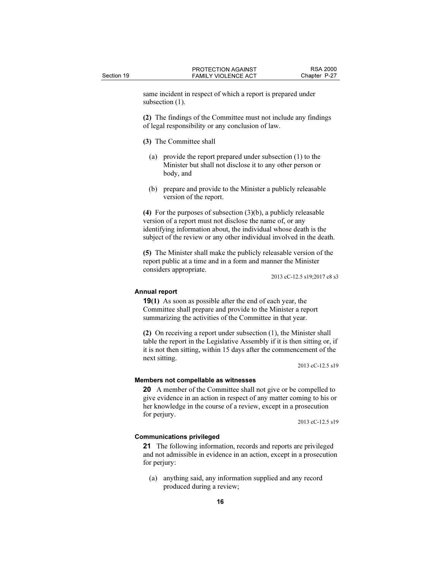same incident in respect of which a report is prepared under subsection  $(1)$ .

(2) The findings of the Committee must not include any findings of legal responsibility or any conclusion of law.

(3) The Committee shall

- (a) provide the report prepared under subsection (1) to the Minister but shall not disclose it to any other person or body, and
- (b) prepare and provide to the Minister a publicly releasable version of the report.

(4) For the purposes of subsection (3)(b), a publicly releasable version of a report must not disclose the name of, or any identifying information about, the individual whose death is the subject of the review or any other individual involved in the death.

(5) The Minister shall make the publicly releasable version of the report public at a time and in a form and manner the Minister considers appropriate.

2013 cC-12.5 s19;2017 c8 s3

# Annual report

19(1) As soon as possible after the end of each year, the Committee shall prepare and provide to the Minister a report summarizing the activities of the Committee in that year.

(2) On receiving a report under subsection (1), the Minister shall table the report in the Legislative Assembly if it is then sitting or, if it is not then sitting, within 15 days after the commencement of the next sitting.

2013 cC-12.5 s19

#### Members not compellable as witnesses

20 A member of the Committee shall not give or be compelled to give evidence in an action in respect of any matter coming to his or her knowledge in the course of a review, except in a prosecution for perjury.

2013 cC-12.5 s19

#### Communications privileged

21 The following information, records and reports are privileged and not admissible in evidence in an action, except in a prosecution for perjury:

 (a) anything said, any information supplied and any record produced during a review;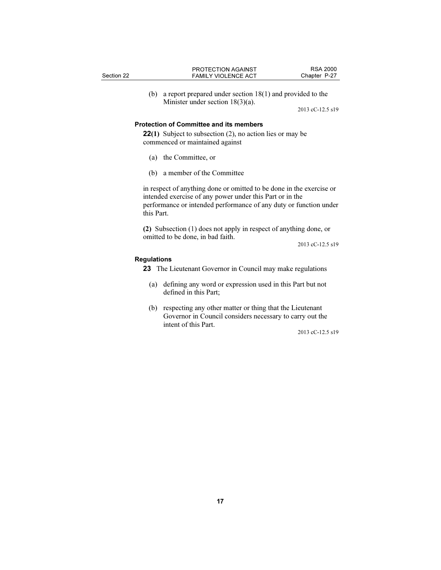(b) a report prepared under section 18(1) and provided to the Minister under section 18(3)(a).

2013 cC-12.5 s19

## Protection of Committee and its members

22(1) Subject to subsection (2), no action lies or may be commenced or maintained against

- (a) the Committee, or
- (b) a member of the Committee

in respect of anything done or omitted to be done in the exercise or intended exercise of any power under this Part or in the performance or intended performance of any duty or function under this Part.

(2) Subsection (1) does not apply in respect of anything done, or omitted to be done, in bad faith.

2013 cC-12.5 s19

#### Regulations

- 23 The Lieutenant Governor in Council may make regulations
	- (a) defining any word or expression used in this Part but not defined in this Part;
	- (b) respecting any other matter or thing that the Lieutenant Governor in Council considers necessary to carry out the intent of this Part.

2013 cC-12.5 s19